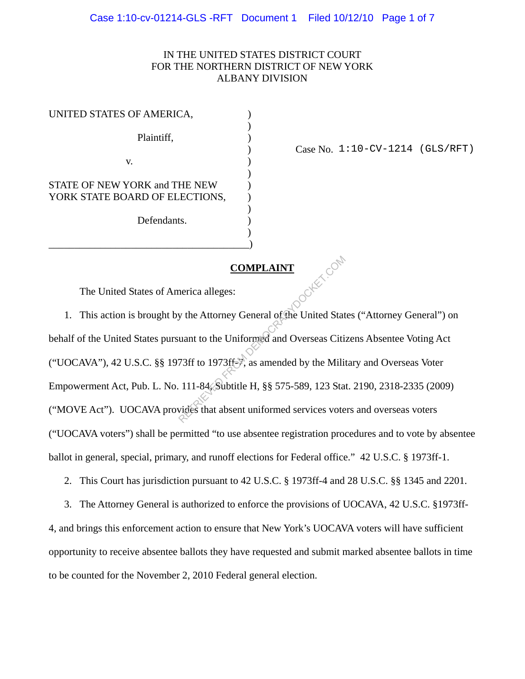## IN THE UNITED STATES DISTRICT COURT FOR THE NORTHERN DISTRICT OF NEW YORK ALBANY DIVISION

| UNITED STATES OF AMERICA,                                       |  |
|-----------------------------------------------------------------|--|
| Plaintiff,                                                      |  |
| V.                                                              |  |
| STATE OF NEW YORK and THE NEW<br>YORK STATE BOARD OF ELECTIONS, |  |
| Defendants                                                      |  |
|                                                                 |  |

) Case No. 1:10-CV-1214 (GLS/RFT)

## **COMPLAINT**

The United States of America alleges:

1. This action is brought by the Attorney General of the United States ("Attorney General") on behalf of the United States pursuant to the Uniformed and Overseas Citizens Absentee Voting Act ("UOCAVA"), 42 U.S.C. §§ 1973ff to 1973ff-7, as amended by the Military and Overseas Voter Empowerment Act, Pub. L. No. 111-84, Subtitle H, §§ 575-589, 123 Stat. 2190, 2318-2335 (2009) ("MOVE Act"). UOCAVA provides that absent uniformed services voters and overseas voters ("UOCAVA voters") shall be permitted "to use absentee registration procedures and to vote by absentee ballot in general, special, primary, and runoff elections for Federal office." 42 U.S.C. § 1973ff-1. **COMPLAINT**<br>
Reflective density the Attorney General of the United State<br>
uant to the Uniformed and Overseas Citiz<br>
73ff to 1973ff- $\frac{1}{\sqrt{2}}$ , as amended by the Milita<br>
111-84. Subtitle H, §§ 575-589, 123 Stat<br>
vides tha

2. This Court has jurisdiction pursuant to 42 U.S.C. § 1973ff-4 and 28 U.S.C. §§ 1345 and 2201.

3. The Attorney General is authorized to enforce the provisions of UOCAVA, 42 U.S.C. §1973ff-

4, and brings this enforcement action to ensure that New York's UOCAVA voters will have sufficient opportunity to receive absentee ballots they have requested and submit marked absentee ballots in time to be counted for the November 2, 2010 Federal general election.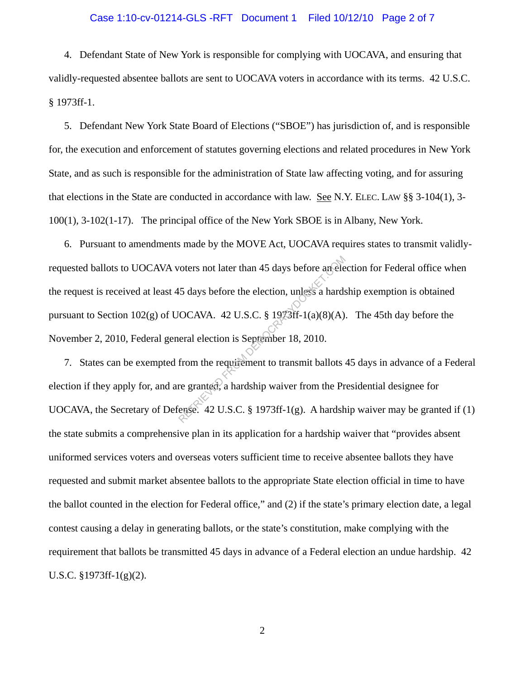#### Case 1:10-cv-01214-GLS -RFT Document 1 Filed 10/12/10 Page 2 of 7

4. Defendant State of New York is responsible for complying with UOCAVA, and ensuring that validly-requested absentee ballots are sent to UOCAVA voters in accordance with its terms. 42 U.S.C. § 1973ff-1.

5. Defendant New York State Board of Elections ("SBOE") has jurisdiction of, and is responsible for, the execution and enforcement of statutes governing elections and related procedures in New York State, and as such is responsible for the administration of State law affecting voting, and for assuring that elections in the State are conducted in accordance with law. See N.Y. ELEC. LAW §§ 3-104(1), 3- 100(1), 3-102(1-17). The principal office of the New York SBOE is in Albany, New York.

6. Pursuant to amendments made by the MOVE Act, UOCAVA requires states to transmit validlyrequested ballots to UOCAVA voters not later than 45 days before an election for Federal office when the request is received at least 45 days before the election, unless a hardship exemption is obtained pursuant to Section  $102(g)$  of UOCAVA. 42 U.S.C. § 1973ff-1(a)(8)(A). The 45th day before the November 2, 2010, Federal general election is September 18, 2010. roters not later than 45 days before an election<br>5 days before the election, unless a hards<br>OCAVA. 42 U.S.C. § 1973ff-1(a)(8)(A)<br>eral election is September 18, 2010.<br>from the requirement to transmit ballots<br>re granted, a

7. States can be exempted from the requirement to transmit ballots 45 days in advance of a Federal election if they apply for, and are granted, a hardship waiver from the Presidential designee for UOCAVA, the Secretary of Defense. 42 U.S.C. § 1973ff-1(g). A hardship waiver may be granted if (1) the state submits a comprehensive plan in its application for a hardship waiver that "provides absent uniformed services voters and overseas voters sufficient time to receive absentee ballots they have requested and submit market absentee ballots to the appropriate State election official in time to have the ballot counted in the election for Federal office," and (2) if the state's primary election date, a legal contest causing a delay in generating ballots, or the state's constitution, make complying with the requirement that ballots be transmitted 45 days in advance of a Federal election an undue hardship. 42 U.S.C. §1973ff-1(g)(2).

2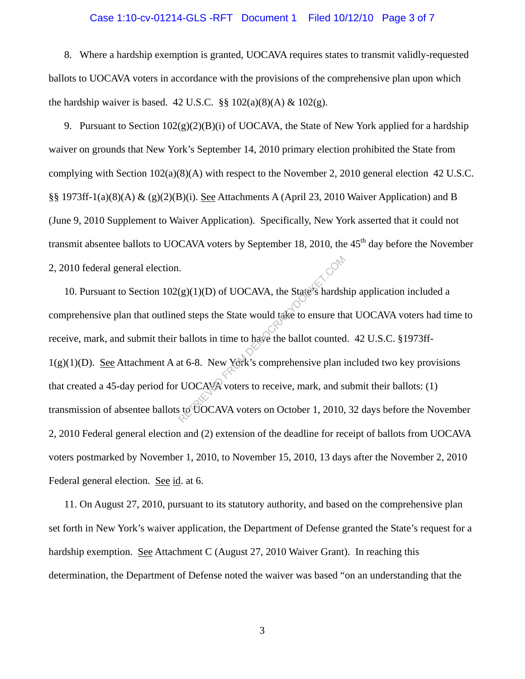#### Case 1:10-cv-01214-GLS -RFT Document 1 Filed 10/12/10 Page 3 of 7

8. Where a hardship exemption is granted, UOCAVA requires states to transmit validly-requested ballots to UOCAVA voters in accordance with the provisions of the comprehensive plan upon which the hardship waiver is based. 42 U.S.C.  $\S\S 102(a)(8)(A) \& 102(g)$ .

9. Pursuant to Section  $102(g)(2)(B)(i)$  of UOCAVA, the State of New York applied for a hardship waiver on grounds that New York's September 14, 2010 primary election prohibited the State from complying with Section  $102(a)(8)(A)$  with respect to the November 2, 2010 general election 42 U.S.C. §§ 1973ff-1(a)(8)(A) & (g)(2)(B)(i). See Attachments A (April 23, 2010 Waiver Application) and B (June 9, 2010 Supplement to Waiver Application). Specifically, New York asserted that it could not transmit absentee ballots to UOCAVA voters by September 18, 2010, the 45<sup>th</sup> day before the November 2, 2010 federal general election.

10. Pursuant to Section  $102(g)(1)(D)$  of UOCAVA, the State's hardship application included a comprehensive plan that outlined steps the State would take to ensure that UOCAVA voters had time to receive, mark, and submit their ballots in time to have the ballot counted. 42 U.S.C. §1973ff- $1(g)(1)(D)$ . See Attachment A at 6-8. New York's comprehensive plan included two key provisions that created a 45-day period for UOCAVA voters to receive, mark, and submit their ballots: (1) transmission of absentee ballots to UOCAVA voters on October 1, 2010, 32 days before the November 2, 2010 Federal general election and (2) extension of the deadline for receipt of ballots from UOCAVA voters postmarked by November 1, 2010, to November 15, 2010, 13 days after the November 2, 2010 Federal general election. See id. at 6. (g)(1)(D) of UOCAVA, the State's hardshed steps the State would take to ensure the ballots in time to have the ballot counted at 6-8. New York's comprehensive plan is UOCAVA voters to receive, mark, and so to UOCAVA voter

11. On August 27, 2010, pursuant to its statutory authority, and based on the comprehensive plan set forth in New York's waiver application, the Department of Defense granted the State's request for a hardship exemption. See Attachment C (August 27, 2010 Waiver Grant). In reaching this determination, the Department of Defense noted the waiver was based "on an understanding that the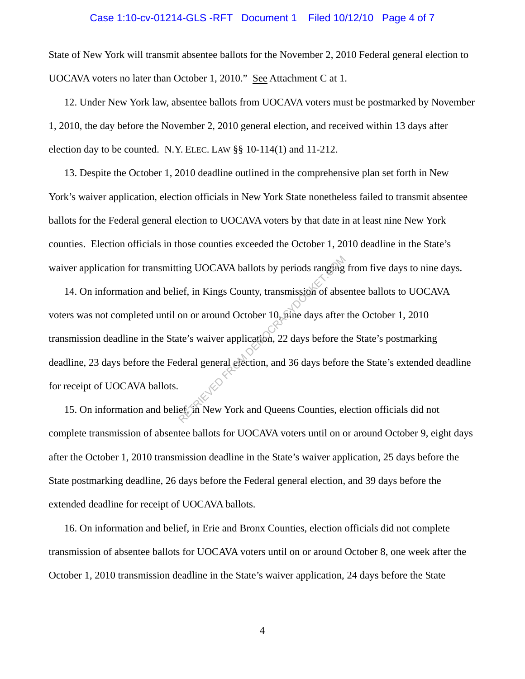## Case 1:10-cv-01214-GLS -RFT Document 1 Filed 10/12/10 Page 4 of 7

State of New York will transmit absentee ballots for the November 2, 2010 Federal general election to UOCAVA voters no later than October 1, 2010." See Attachment C at 1.

 election day to be counted. N.Y. ELEC. LAW §§ 10-114(1) and 11-212. 12. Under New York law, absentee ballots from UOCAVA voters must be postmarked by November 1, 2010, the day before the November 2, 2010 general election, and received within 13 days after

13. Despite the October 1, 2010 deadline outlined in the comprehensive plan set forth in New York's waiver application, election officials in New York State nonetheless failed to transmit absentee ballots for the Federal general election to UOCAVA voters by that date in at least nine New York counties. Election officials in those counties exceeded the October 1, 2010 deadline in the State's waiver application for transmitting UOCAVA ballots by periods ranging from five days to nine days.

14. On information and belief, in Kings County, transmission of absentee ballots to UOCAVA voters was not completed until on or around October 10, nine days after the October 1, 2010 transmission deadline in the State's waiver application, 22 days before the State's postmarking deadline, 23 days before the Federal general election, and 36 days before the State's extended deadline for receipt of UOCAVA ballots. ing UOCAVA ballots by periods ranging<br>ef, in Kings County, transmission of abse<br>on or around October 10, pine days after<br>te's waiver application, 22 days before the<br>deral general efection, and 36 days before<br>ef, in New Yor

15. On information and belief, in New York and Queens Counties, election officials did not complete transmission of absentee ballots for UOCAVA voters until on or around October 9, eight days after the October 1, 2010 transmission deadline in the State's waiver application, 25 days before the State postmarking deadline, 26 days before the Federal general election, and 39 days before the extended deadline for receipt of UOCAVA ballots.

16. On information and belief, in Erie and Bronx Counties, election officials did not complete transmission of absentee ballots for UOCAVA voters until on or around October 8, one week after the October 1, 2010 transmission deadline in the State's waiver application, 24 days before the State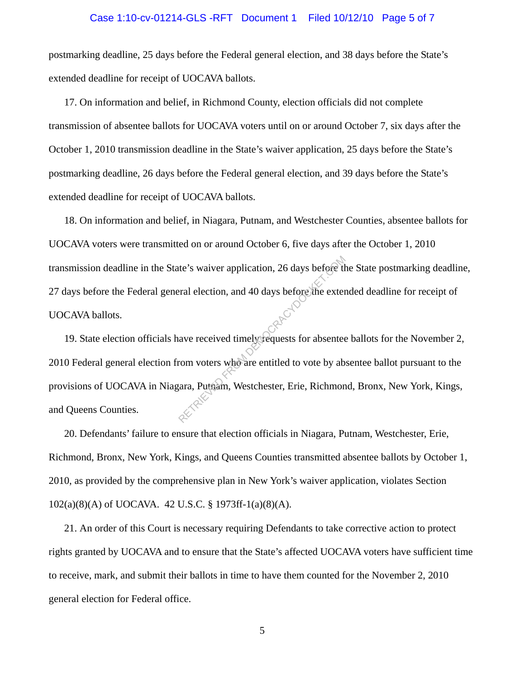#### Case 1:10-cv-01214-GLS -RFT Document 1 Filed 10/12/10 Page 5 of 7

postmarking deadline, 25 days before the Federal general election, and 38 days before the State's extended deadline for receipt of UOCAVA ballots.

17. On information and belief, in Richmond County, election officials did not complete transmission of absentee ballots for UOCAVA voters until on or around October 7, six days after the October 1, 2010 transmission deadline in the State's waiver application, 25 days before the State's postmarking deadline, 26 days before the Federal general election, and 39 days before the State's extended deadline for receipt of UOCAVA ballots.

18. On information and belief, in Niagara, Putnam, and Westchester Counties, absentee ballots for UOCAVA voters were transmitted on or around October 6, five days after the October 1, 2010 transmission deadline in the State's waiver application, 26 days before the State postmarking deadline, 27 days before the Federal general election, and 40 days before the extended deadline for receipt of UOCAVA ballots.

19. State election officials have received timely requests for absentee ballots for the November 2, 2010 Federal general election from voters who are entitled to vote by absentee ballot pursuant to the provisions of UOCAVA in Niagara, Putnam, Westchester, Erie, Richmond, Bronx, New York, Kings, and Queens Counties. te's waiver application, 26 days before the external election, and 40 days before the external election, and 40 days before the external external external external and the external extends for absented to vote by ab arra,

20. Defendants' failure to ensure that election officials in Niagara, Putnam, Westchester, Erie, Richmond, Bronx, New York, Kings, and Queens Counties transmitted absentee ballots by October 1, 2010, as provided by the comprehensive plan in New York's waiver application, violates Section 102(a)(8)(A) of UOCAVA. 42 U.S.C. § 1973ff-1(a)(8)(A).

21. An order of this Court is necessary requiring Defendants to take corrective action to protect rights granted by UOCAVA and to ensure that the State's affected UOCAVA voters have sufficient time to receive, mark, and submit their ballots in time to have them counted for the November 2, 2010 general election for Federal office.

5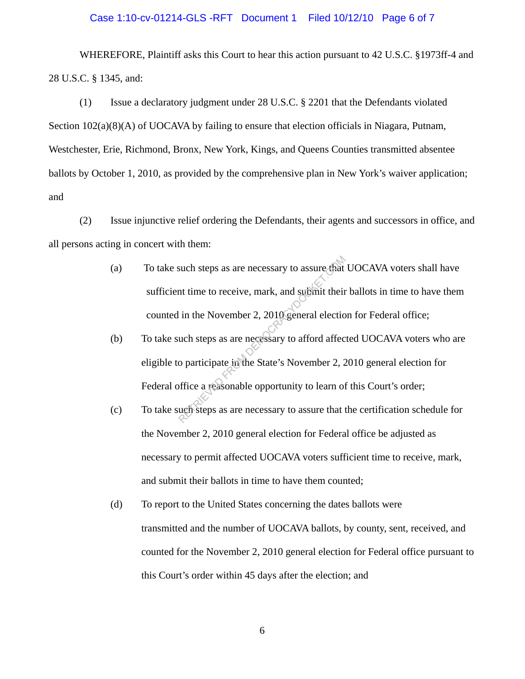## Case 1:10-cv-01214-GLS -RFT Document 1 Filed 10/12/10 Page 6 of 7

WHEREFORE, Plaintiff asks this Court to hear this action pursuant to 42 U.S.C. §1973ff-4 and 28 U.S.C. § 1345, and:

(1) Issue a declaratory judgment under 28 U.S.C. § 2201 that the Defendants violated Section 102(a)(8)(A) of UOCAVA by failing to ensure that election officials in Niagara, Putnam, Westchester, Erie, Richmond, Bronx, New York, Kings, and Queens Counties transmitted absentee ballots by October 1, 2010, as provided by the comprehensive plan in New York's waiver application; and

(2) Issue injunctive relief ordering the Defendants, their agents and successors in office, and all persons acting in concert with them:

- (a) To take such steps as are necessary to assure that UOCAVA voters shall have sufficient time to receive, mark, and submit their ballots in time to have them counted in the November 2, 2010 general election for Federal office; such steps as are necessary to assure that<br>nt time to receive, mark, and submit their<br>in the November 2, 2010 general electio<br>uch steps as are necessary to afford affec<br>o participate in the State's November 2, 2<br>office a r
- (b) To take such steps as are necessary to afford affected UOCAVA voters who are eligible to participate in the State's November 2, 2010 general election for Federal office a reasonable opportunity to learn of this Court's order;
- (c) To take such steps as are necessary to assure that the certification schedule for the November 2, 2010 general election for Federal office be adjusted as necessary to permit affected UOCAVA voters sufficient time to receive, mark, and submit their ballots in time to have them counted;
- (d) To report to the United States concerning the dates ballots were transmitted and the number of UOCAVA ballots, by county, sent, received, and counted for the November 2, 2010 general election for Federal office pursuant to this Court's order within 45 days after the election; and

6